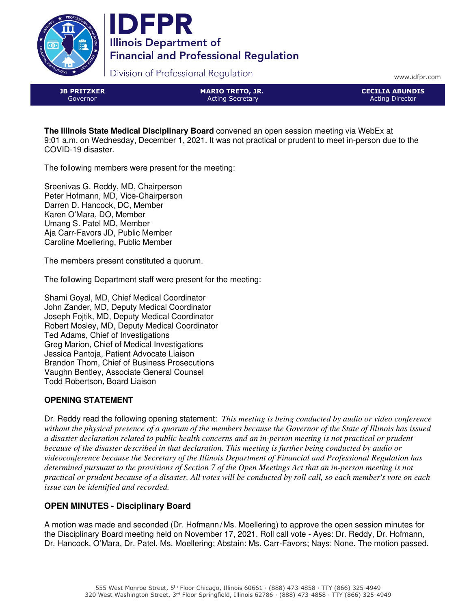



Division of Professional Regulation

www.idfpr.com

JB PRITZKER Governor

MARIO TRETO, JR. Acting Secretary

CECILIA ABUNDIS Acting Director

**The Illinois State Medical Disciplinary Board** convened an open session meeting via WebEx at 9:01 a.m. on Wednesday, December 1, 2021. It was not practical or prudent to meet in-person due to the COVID-19 disaster.

The following members were present for the meeting:

Sreenivas G. Reddy, MD, Chairperson Peter Hofmann, MD, Vice-Chairperson Darren D. Hancock, DC, Member Karen O'Mara, DO, Member Umang S. Patel MD, Member Aja Carr-Favors JD, Public Member Caroline Moellering, Public Member

The members present constituted a quorum.

The following Department staff were present for the meeting:

Shami Goyal, MD, Chief Medical Coordinator John Zander, MD, Deputy Medical Coordinator Joseph Fojtik, MD, Deputy Medical Coordinator Robert Mosley, MD, Deputy Medical Coordinator Ted Adams, Chief of Investigations Greg Marion, Chief of Medical Investigations Jessica Pantoja, Patient Advocate Liaison Brandon Thom, Chief of Business Prosecutions Vaughn Bentley, Associate General Counsel Todd Robertson, Board Liaison

# **OPENING STATEMENT**

Dr. Reddy read the following opening statement: *This meeting is being conducted by audio or video conference without the physical presence of a quorum of the members because the Governor of the State of Illinois has issued a disaster declaration related to public health concerns and an in-person meeting is not practical or prudent because of the disaster described in that declaration. This meeting is further being conducted by audio or videoconference because the Secretary of the Illinois Department of Financial and Professional Regulation has determined pursuant to the provisions of Section 7 of the Open Meetings Act that an in-person meeting is not practical or prudent because of a disaster. All votes will be conducted by roll call, so each member's vote on each issue can be identified and recorded.*

# **OPEN MINUTES - Disciplinary Board**

A motion was made and seconded (Dr. Hofmann/Ms. Moellering) to approve the open session minutes for the Disciplinary Board meeting held on November 17, 2021. Roll call vote - Ayes: Dr. Reddy, Dr. Hofmann, Dr. Hancock, O'Mara, Dr. Patel, Ms. Moellering; Abstain: Ms. Carr-Favors; Nays: None. The motion passed.